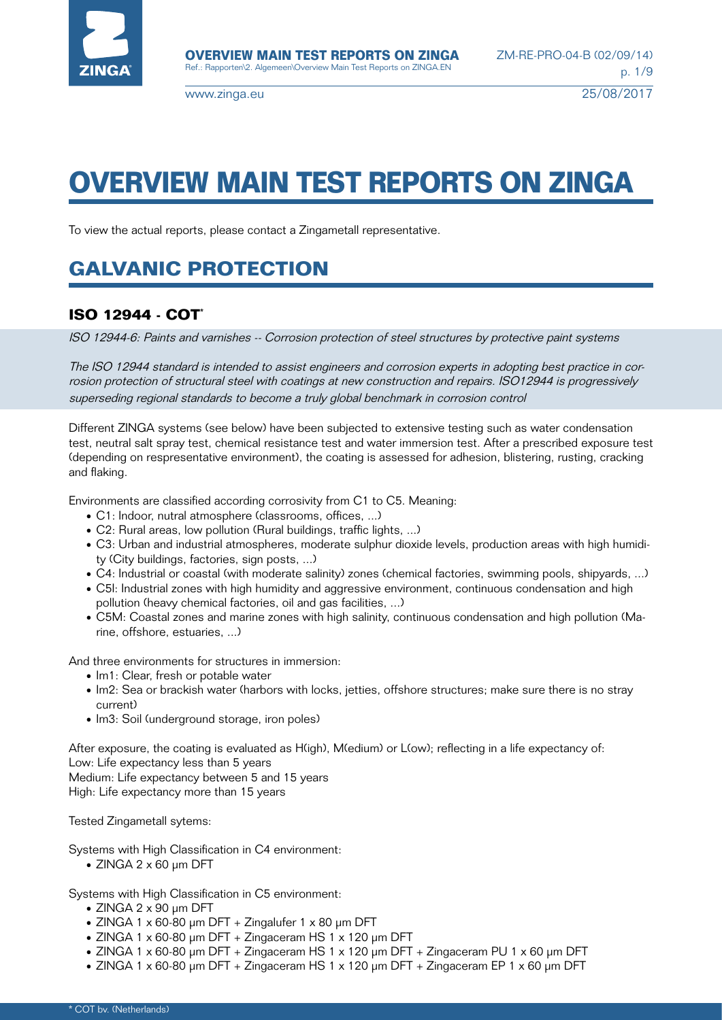

# **OVERVIEW MAIN TEST REPORTS ON ZINGA**

To view the actual reports, please contact a Zingametall representative.

## **GALVANIC PROTECTION**

## **ISO 12944 - COT**\*

ISO 12944-6: Paints and varnishes -- Corrosion protection of steel structures by protective paint systems

The ISO 12944 standard is intended to assist engineers and corrosion experts in adopting best practice in corrosion protection of structural steel with coatings at new construction and repairs. ISO12944 is progressively superseding regional standards to become a truly global benchmark in corrosion control

Different ZINGA systems (see below) have been subjected to extensive testing such as water condensation test, neutral salt spray test, chemical resistance test and water immersion test. After a prescribed exposure test (depending on respresentative environment), the coating is assessed for adhesion, blistering, rusting, cracking and flaking.

Environments are classified according corrosivity from C1 to C5. Meaning:

- C1: Indoor, nutral atmosphere (classrooms, offices, ...)
- C2: Rural areas, low pollution (Rural buildings, traffic lights, ...)
- C3: Urban and industrial atmospheres, moderate sulphur dioxide levels, production areas with high humidity (City buildings, factories, sign posts, ...)
- C4: Industrial or coastal (with moderate salinity) zones (chemical factories, swimming pools, shipyards, ...)
- C5I: Industrial zones with high humidity and aggressive environment, continuous condensation and high pollution (heavy chemical factories, oil and gas facilities, ...)
- C5M: Coastal zones and marine zones with high salinity, continuous condensation and high pollution (Marine, offshore, estuaries, ...)

And three environments for structures in immersion:

- Im1: Clear, fresh or potable water
- Im2: Sea or brackish water (harbors with locks, jetties, offshore structures; make sure there is no stray current)
- Im3: Soil (underground storage, iron poles)

After exposure, the coating is evaluated as H(igh), M(edium) or L(ow); reflecting in a life expectancy of: Low: Life expectancy less than 5 years

Medium: Life expectancy between 5 and 15 years

High: Life expectancy more than 15 years

Tested Zingametall sytems:

Systems with High Classification in C4 environment:

• ZINGA 2 x 60 μm DFT

Systems with High Classification in C5 environment:

- ZINGA 2 x 90 μm DFT
- ZINGA 1 x 60-80 μm DFT + Zingalufer 1 x 80 μm DFT
- ZINGA 1 x 60-80 μm DFT + Zingaceram HS 1 x 120 μm DFT
- ZINGA 1 x 60-80 μm DFT + Zingaceram HS 1 x 120 μm DFT + Zingaceram PU 1 x 60 μm DFT
- ZINGA 1 x 60-80 μm DFT + Zingaceram HS 1 x 120 μm DFT + Zingaceram EP 1 x 60 μm DFT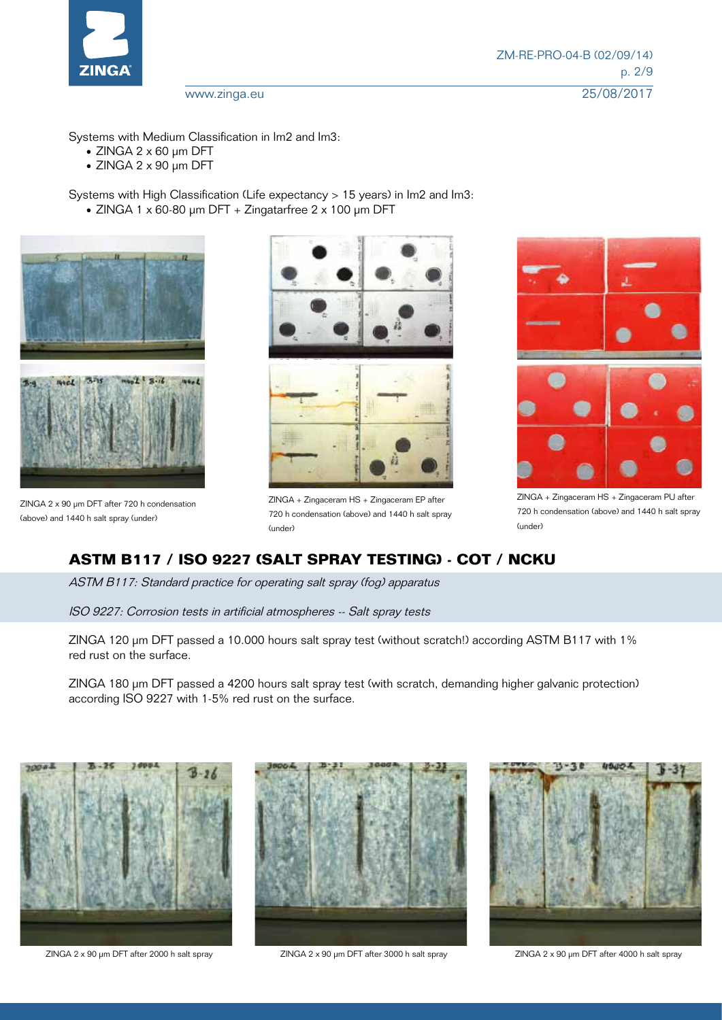

Systems with Medium Classification in Im2 and Im3:

- ZINGA 2 x 60 μm DFT
- ZINGA 2 x 90 μm DFT

Systems with High Classification (Life expectancy > 15 years) in Im2 and Im3: • ZINGA 1 x 60-80 μm DFT + Zingatarfree 2 x 100 μm DFT



ZINGA 2 x 90 µm DFT after 720 h condensation (above) and 1440 h salt spray (under)



ZINGA + Zingaceram HS + Zingaceram EP after 720 h condensation (above) and 1440 h salt spray (under)



ZINGA + Zingaceram HS + Zingaceram PU after 720 h condensation (above) and 1440 h salt spray (under)

## **ASTM B117 / ISO 9227 (SALT SPRAY TESTING) - COT / NCKU**

ASTM B117: Standard practice for operating salt spray (fog) apparatus

ISO 9227: Corrosion tests in artificial atmospheres -- Salt spray tests

ZINGA 120 µm DFT passed a 10.000 hours salt spray test (without scratch!) according ASTM B117 with 1% red rust on the surface.

ZINGA 180 µm DFT passed a 4200 hours salt spray test (with scratch, demanding higher galvanic protection) according ISO 9227 with 1-5% red rust on the surface.



ZINGA 2 x 90 µm DFT after 2000 h salt spray ZINGA 2 x 90 µm DFT after 3000 h salt spray ZINGA 2 x 90 µm DFT after 4000 h salt spray



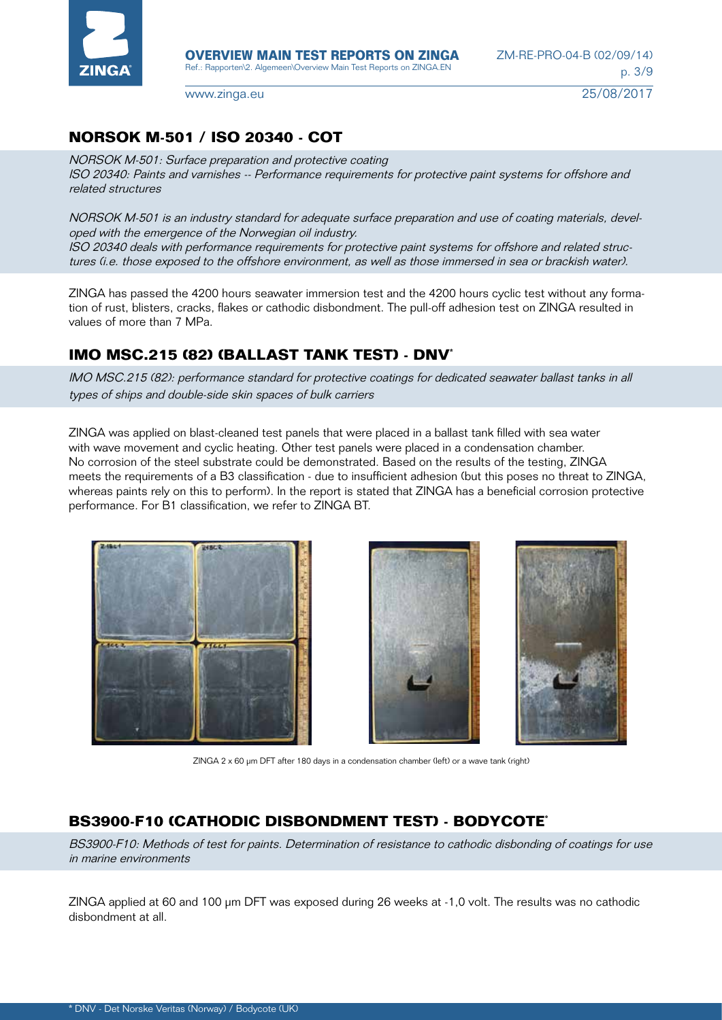

## **NORSOK M-501 / ISO 20340 - COT**

NORSOK M-501: Surface preparation and protective coating ISO 20340: Paints and varnishes -- Performance requirements for protective paint systems for offshore and related structures

NORSOK M-501 is an industry standard for adequate surface preparation and use of coating materials, developed with the emergence of the Norwegian oil industry. ISO 20340 deals with performance requirements for protective paint systems for offshore and related structures (i.e. those exposed to the offshore environment, as well as those immersed in sea or brackish water).

ZINGA has passed the 4200 hours seawater immersion test and the 4200 hours cyclic test without any formation of rust, blisters, cracks, flakes or cathodic disbondment. The pull-off adhesion test on ZINGA resulted in values of more than 7 MPa.

## **IMO MSC.215 (82) (BALLAST TANK TEST) - DNV\***

IMO MSC.215 (82): performance standard for protective coatings for dedicated seawater ballast tanks in all types of ships and double-side skin spaces of bulk carriers

ZINGA was applied on blast-cleaned test panels that were placed in a ballast tank filled with sea water with wave movement and cyclic heating. Other test panels were placed in a condensation chamber. No corrosion of the steel substrate could be demonstrated. Based on the results of the testing, ZINGA meets the requirements of a B3 classification - due to insufficient adhesion (but this poses no threat to ZINGA, whereas paints rely on this to perform). In the report is stated that ZINGA has a beneficial corrosion protective performance. For B1 classification, we refer to ZINGA BT.







ZINGA 2 x 60 µm DFT after 180 days in a condensation chamber (left) or a wave tank (right)

## **BS3900-F10 (CATHODIC DISBONDMENT TEST) - BODYCOTE\***

BS3900-F10: Methods of test for paints. Determination of resistance to cathodic disbonding of coatings for use in marine environments

ZINGA applied at 60 and 100 μm DFT was exposed during 26 weeks at -1,0 volt. The results was no cathodic disbondment at all.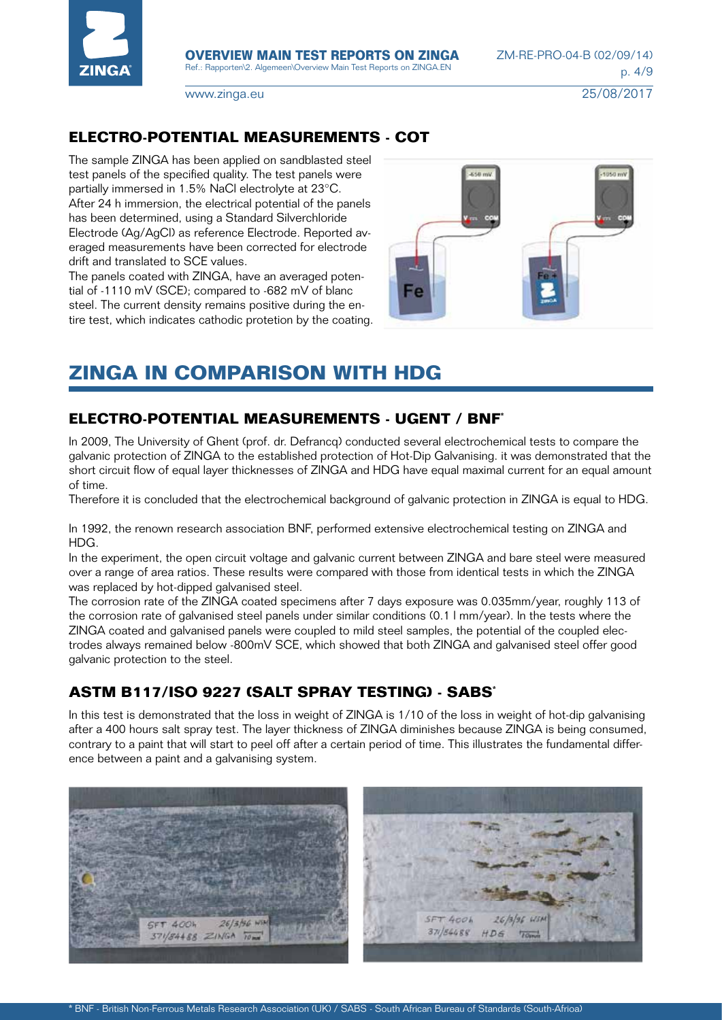

### **ELECTRO-POTENTIAL MEASUREMENTS - COT**

The sample ZINGA has been applied on sandblasted steel test panels of the specified quality. The test panels were partially immersed in 1.5% NaCl electrolyte at 23°C. After 24 h immersion, the electrical potential of the panels has been determined, using a Standard Silverchloride Electrode (Ag/AgCl) as reference Electrode. Reported averaged measurements have been corrected for electrode drift and translated to SCE values.

The panels coated with ZINGA, have an averaged potential of -1110 mV (SCE); compared to -682 mV of blanc steel. The current density remains positive during the entire test, which indicates cathodic protetion by the coating.



## **ZINGA IN COMPARISON WITH HDG**

## **ELECTRO-POTENTIAL MEASUREMENTS - UGENT / BNF\***

In 2009, The University of Ghent (prof. dr. Defrancq) conducted several electrochemical tests to compare the galvanic protection of ZINGA to the established protection of Hot-Dip Galvanising. it was demonstrated that the short circuit flow of equal layer thicknesses of ZINGA and HDG have equal maximal current for an equal amount of time.

Therefore it is concluded that the electrochemical background of galvanic protection in ZINGA is equal to HDG.

In 1992, the renown research association BNF, performed extensive electrochemical testing on ZINGA and HDG.

In the experiment, the open circuit voltage and galvanic current between ZINGA and bare steel were measured over a range of area ratios. These results were compared with those from identical tests in which the ZINGA was replaced by hot-dipped galvanised steel.

The corrosion rate of the ZINGA coated specimens after 7 days exposure was 0.035mm/year, roughly 113 of the corrosion rate of galvanised steel panels under similar conditions (0.1 l mm/year). In the tests where the ZINGA coated and galvanised panels were coupled to mild steel samples, the potential of the coupled electrodes always remained below -800mV SCE, which showed that both ZINGA and galvanised steel offer good galvanic protection to the steel.

## **ASTM B117/ISO 9227 (SALT SPRAY TESTING) - SABS\***

In this test is demonstrated that the loss in weight of ZINGA is 1/10 of the loss in weight of hot-dip galvanising after a 400 hours salt spray test. The layer thickness of ZINGA diminishes because ZINGA is being consumed, contrary to a paint that will start to peel off after a certain period of time. This illustrates the fundamental difference between a paint and a galvanising system.

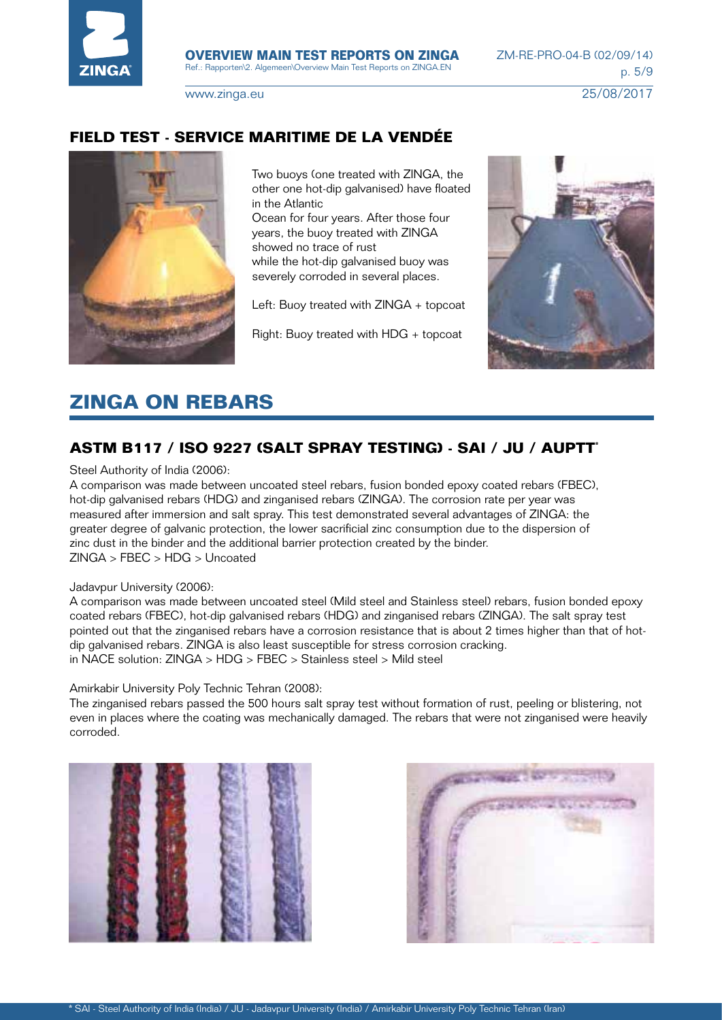

### **FIELD TEST - SERVICE MARITIME DE LA VENDÉE**



Two buoys (one treated with ZINGA, the other one hot-dip galvanised) have floated in the Atlantic

Ocean for four years. After those four years, the buoy treated with ZINGA showed no trace of rust while the hot-dip galvanised buoy was severely corroded in several places.

Left: Buoy treated with ZINGA + topcoat

Right: Buoy treated with HDG + topcoat



## **ZINGA ON REBARS**

## **ASTM B117 / ISO 9227 (SALT SPRAY TESTING) - SAI / JU / AUPTT\***

Steel Authority of India (2006):

A comparison was made between uncoated steel rebars, fusion bonded epoxy coated rebars (FBEC), hot-dip galvanised rebars (HDG) and zinganised rebars (ZINGA). The corrosion rate per year was measured after immersion and salt spray. This test demonstrated several advantages of ZINGA: the greater degree of galvanic protection, the lower sacrificial zinc consumption due to the dispersion of zinc dust in the binder and the additional barrier protection created by the binder. ZINGA > FBEC > HDG > Uncoated

#### Jadavpur University (2006):

A comparison was made between uncoated steel (Mild steel and Stainless steel) rebars, fusion bonded epoxy coated rebars (FBEC), hot-dip galvanised rebars (HDG) and zinganised rebars (ZINGA). The salt spray test pointed out that the zinganised rebars have a corrosion resistance that is about 2 times higher than that of hotdip galvanised rebars. ZINGA is also least susceptible for stress corrosion cracking. in NACE solution: ZINGA > HDG > FBEC > Stainless steel > Mild steel

Amirkabir University Poly Technic Tehran (2008):

The zinganised rebars passed the 500 hours salt spray test without formation of rust, peeling or blistering, not even in places where the coating was mechanically damaged. The rebars that were not zinganised were heavily corroded.



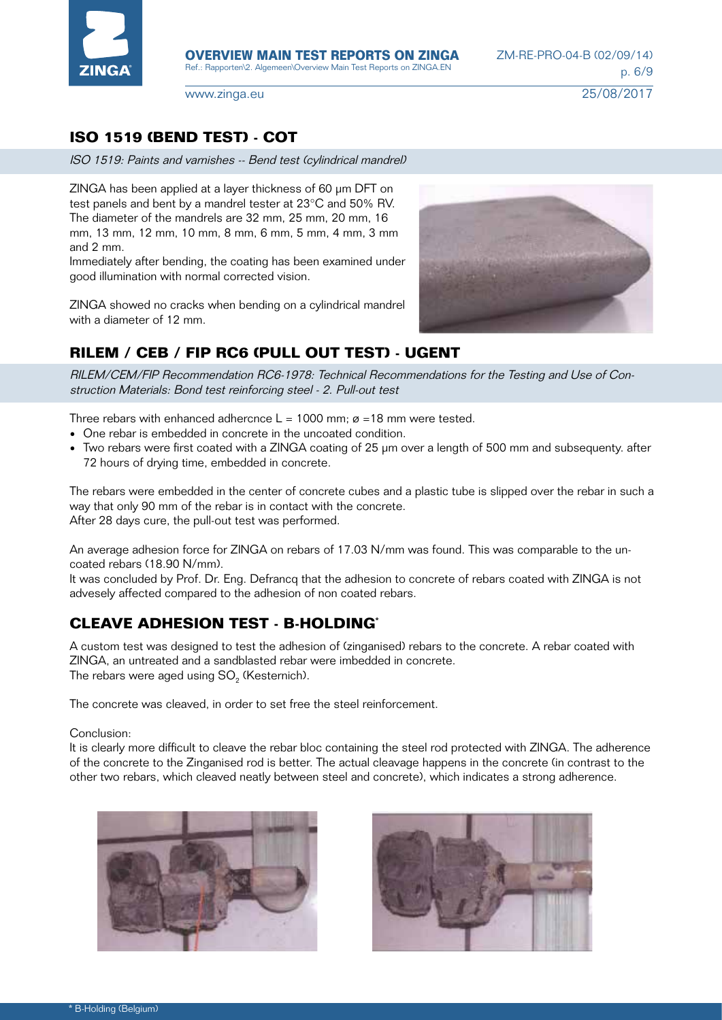

## **ISO 1519 (BEND TEST) - COT**

ISO 1519: Paints and varnishes -- Bend test (cylindrical mandrel)

ZINGA has been applied at a layer thickness of 60 µm DFT on test panels and bent by a mandrel tester at 23°C and 50% RV. The diameter of the mandrels are 32 mm, 25 mm, 20 mm, 16 mm, 13 mm, 12 mm, 10 mm, 8 mm, 6 mm, 5 mm, 4 mm, 3 mm and 2 mm.

Immediately after bending, the coating has been examined under good illumination with normal corrected vision.

ZINGA showed no cracks when bending on a cylindrical mandrel with a diameter of 12 mm.

## **RILEM / CEB / FIP RC6 (PULL OUT TEST) - UGENT**

RILEM/CEM/FIP Recommendation RC6-1978: Technical Recommendations for the Testing and Use of Construction Materials: Bond test reinforcing steel - 2. Pull-out test

Three rebars with enhanced adhercnce  $L = 1000$  mm;  $\alpha = 18$  mm were tested.

- One rebar is embedded in concrete in the uncoated condition.
- Two rebars were first coated with a ZINGA coating of 25 µm over a length of 500 mm and subsequenty. after 72 hours of drying time, embedded in concrete.

The rebars were embedded in the center of concrete cubes and a plastic tube is slipped over the rebar in such a way that only 90 mm of the rebar is in contact with the concrete. After 28 days cure, the pull-out test was performed.

An average adhesion force for ZINGA on rebars of 17.03 N/mm was found. This was comparable to the uncoated rebars (18.90 N/mm).

It was concluded by Prof. Dr. Eng. Defrancq that the adhesion to concrete of rebars coated with ZINGA is not advesely affected compared to the adhesion of non coated rebars.

## **CLEAVE ADHESION TEST - B-HOLDING\***

A custom test was designed to test the adhesion of (zinganised) rebars to the concrete. A rebar coated with ZINGA, an untreated and a sandblasted rebar were imbedded in concrete. The rebars were aged using SO<sub>2</sub> (Kesternich).

The concrete was cleaved, in order to set free the steel reinforcement.

#### Conclusion:

It is clearly more difficult to cleave the rebar bloc containing the steel rod protected with ZINGA. The adherence of the concrete to the Zinganised rod is better. The actual cleavage happens in the concrete (in contrast to the other two rebars, which cleaved neatly between steel and concrete), which indicates a strong adherence.





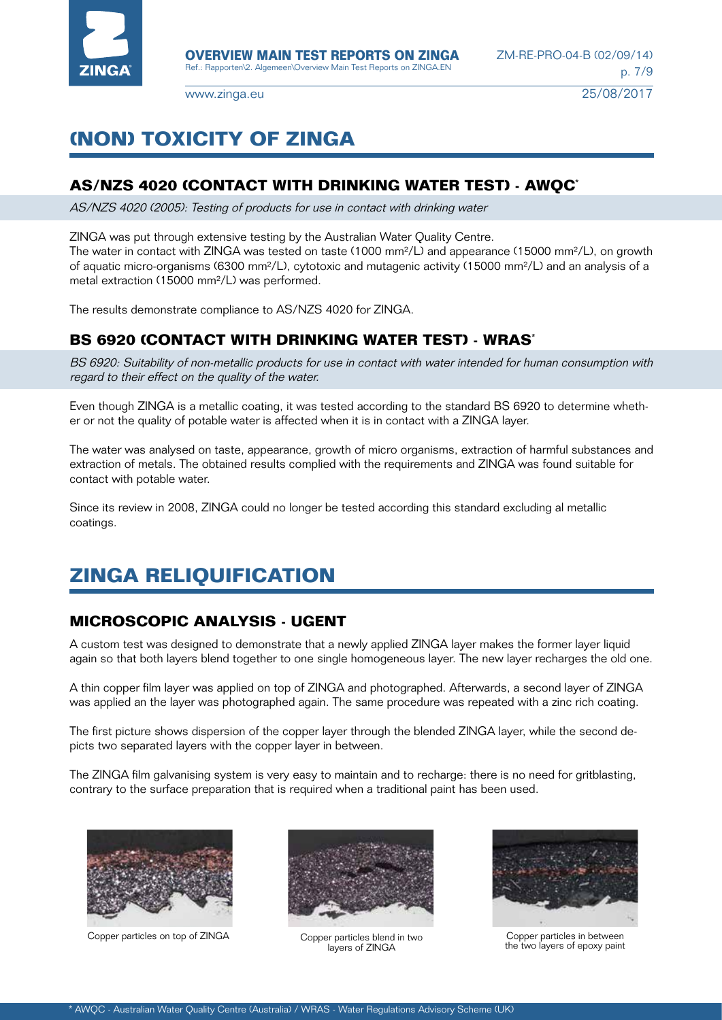

## **(NON) TOXICITY OF ZINGA**

### **AS/NZS 4020 (CONTACT WITH DRINKING WATER TEST) - AWQC\***

AS/NZS 4020 (2005): Testing of products for use in contact with drinking water

ZINGA was put through extensive testing by the Australian Water Quality Centre. The water in contact with ZINGA was tested on taste (1000 mm²/L) and appearance (15000 mm²/L), on growth of aquatic micro-organisms (6300 mm²/L), cytotoxic and mutagenic activity (15000 mm²/L) and an analysis of a metal extraction (15000 mm²/L) was performed.

The results demonstrate compliance to AS/NZS 4020 for ZINGA.

## **BS 6920 (CONTACT WITH DRINKING WATER TEST) - WRAS\***

BS 6920: Suitability of non-metallic products for use in contact with water intended for human consumption with regard to their effect on the quality of the water.

Even though ZINGA is a metallic coating, it was tested according to the standard BS 6920 to determine whether or not the quality of potable water is affected when it is in contact with a ZINGA layer.

The water was analysed on taste, appearance, growth of micro organisms, extraction of harmful substances and extraction of metals. The obtained results complied with the requirements and ZINGA was found suitable for contact with potable water.

Since its review in 2008, ZINGA could no longer be tested according this standard excluding al metallic coatings.

## **ZINGA RELIQUIFICATION**

## **MICROSCOPIC ANALYSIS - UGENT**

A custom test was designed to demonstrate that a newly applied ZINGA layer makes the former layer liquid again so that both layers blend together to one single homogeneous layer. The new layer recharges the old one.

A thin copper film layer was applied on top of ZINGA and photographed. Afterwards, a second layer of ZINGA was applied an the layer was photographed again. The same procedure was repeated with a zinc rich coating.

The first picture shows dispersion of the copper layer through the blended ZINGA layer, while the second depicts two separated layers with the copper layer in between.

The ZINGA film galvanising system is very easy to maintain and to recharge: there is no need for gritblasting, contrary to the surface preparation that is required when a traditional paint has been used.



Copper particles on top of ZINGA Copper particles blend in two



layers of ZINGA



Copper particles in between the two layers of epoxy paint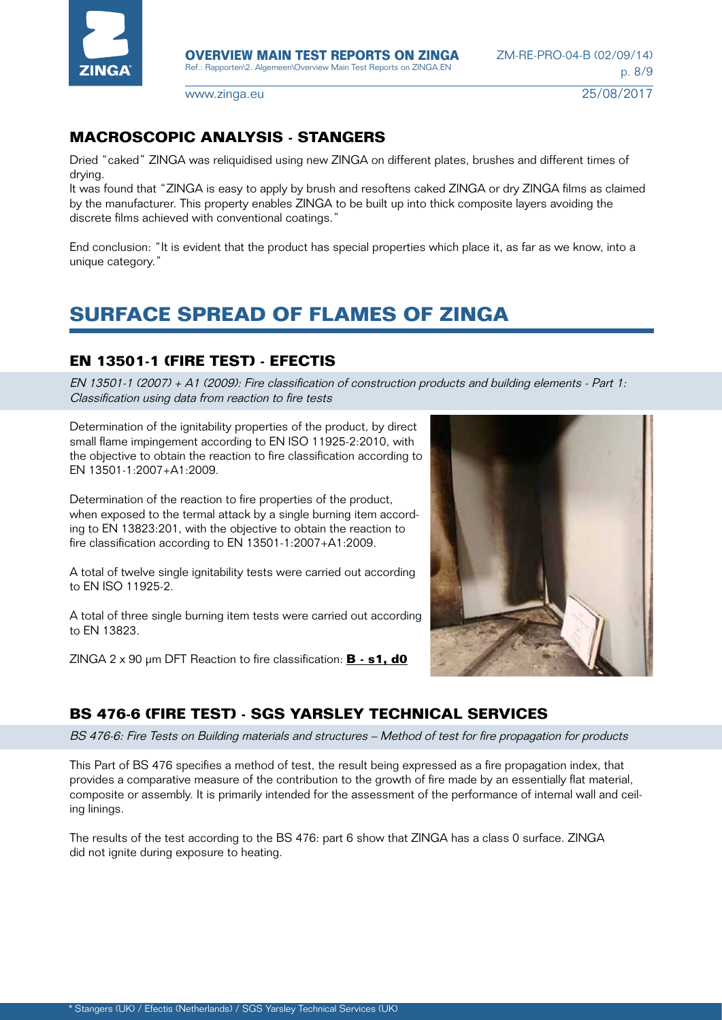

## **MACROSCOPIC ANALYSIS - STANGERS**

Dried "caked" ZINGA was reliquidised using new ZINGA on different plates, brushes and different times of drying.

It was found that "ZINGA is easy to apply by brush and resoftens caked ZINGA or dry ZINGA films as claimed by the manufacturer. This property enables ZINGA to be built up into thick composite layers avoiding the discrete films achieved with conventional coatings."

End conclusion: "It is evident that the product has special properties which place it, as far as we know, into a unique category."

## **SURFACE SPREAD OF FLAMES OF ZINGA**

## **EN 13501-1 (FIRE TEST) - EFECTIS**

EN 13501-1 (2007) + A1 (2009): Fire classification of construction products and building elements - Part 1: Classification using data from reaction to fire tests

Determination of the ignitability properties of the product, by direct small flame impingement according to EN ISO 11925-2:2010, with the objective to obtain the reaction to fire classification according to EN 13501-1:2007+A1:2009.

Determination of the reaction to fire properties of the product, when exposed to the termal attack by a single burning item according to EN 13823:201, with the objective to obtain the reaction to fire classification according to EN 13501-1:2007+A1:2009.

A total of twelve single ignitability tests were carried out according to EN ISO 11925-2.

A total of three single burning item tests were carried out according to EN 13823.

ZINGA 2 x 90 µm DFT Reaction to fire classification: **B - s1, d0**



## **BS 476-6 (FIRE TEST) - SGS YARSLEY TECHNICAL SERVICES**

BS 476-6: Fire Tests on Building materials and structures – Method of test for fire propagation for products

This Part of BS 476 specifies a method of test, the result being expressed as a fire propagation index, that provides a comparative measure of the contribution to the growth of fire made by an essentially flat material, composite or assembly. It is primarily intended for the assessment of the performance of internal wall and ceiling linings.

The results of the test according to the BS 476: part 6 show that ZINGA has a class 0 surface. ZINGA did not ignite during exposure to heating.